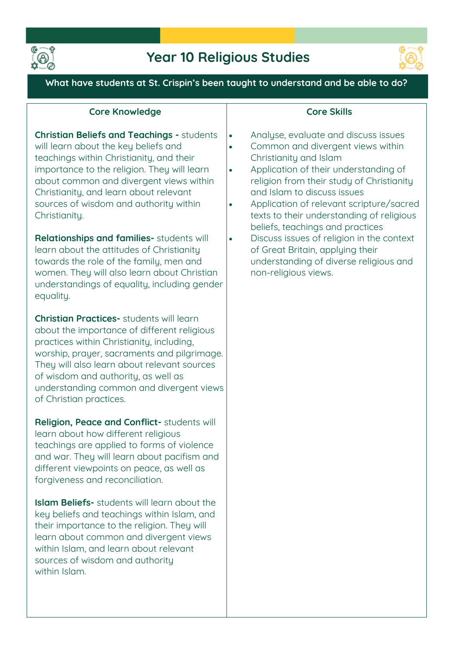



**What have students at St. Crispin's been taught to understand and be able to do?**

| <b>Core Knowledge</b>                                                                                                                                                                                                                                                                                                                                                                                                                                                                                                                                                                 | <b>Core Skills</b>                                                                                                                                                                                                                                                                                                                                                                                                                                                                                                                                                        |
|---------------------------------------------------------------------------------------------------------------------------------------------------------------------------------------------------------------------------------------------------------------------------------------------------------------------------------------------------------------------------------------------------------------------------------------------------------------------------------------------------------------------------------------------------------------------------------------|---------------------------------------------------------------------------------------------------------------------------------------------------------------------------------------------------------------------------------------------------------------------------------------------------------------------------------------------------------------------------------------------------------------------------------------------------------------------------------------------------------------------------------------------------------------------------|
| <b>Christian Beliefs and Teachings - students</b><br>will learn about the key beliefs and<br>teachings within Christianity, and their<br>importance to the religion. They will learn<br>about common and divergent views within<br>Christianity, and learn about relevant<br>sources of wisdom and authority within<br>Christianity.<br>Relationships and families- students will<br>learn about the attitudes of Christianity<br>towards the role of the family, men and<br>women. They will also learn about Christian<br>understandings of equality, including gender<br>equality. | Analyse, evaluate and discuss issues<br>$\bullet$<br>Common and divergent views within<br>$\bullet$<br>Christianity and Islam<br>Application of their understanding of<br>$\bullet$<br>religion from their study of Christianity<br>and Islam to discuss issues<br>Application of relevant scripture/sacred<br>$\bullet$<br>texts to their understanding of religious<br>beliefs, teachings and practices<br>Discuss issues of religion in the context<br>$\bullet$<br>of Great Britain, applying their<br>understanding of diverse religious and<br>non-religious views. |
| <b>Christian Practices-</b> students will learn<br>about the importance of different religious<br>practices within Christianity, including,<br>worship, prayer, sacraments and pilgrimage.<br>They will also learn about relevant sources<br>of wisdom and authority, as well as<br>understanding common and divergent views<br>of Christian practices.                                                                                                                                                                                                                               |                                                                                                                                                                                                                                                                                                                                                                                                                                                                                                                                                                           |
| Religion, Peace and Conflict- students will<br>learn about how different religious<br>teachings are applied to forms of violence<br>and war. They will learn about pacifism and<br>different viewpoints on peace, as well as<br>forgiveness and reconciliation.                                                                                                                                                                                                                                                                                                                       |                                                                                                                                                                                                                                                                                                                                                                                                                                                                                                                                                                           |
| <b>Islam Beliefs-</b> students will learn about the<br>key beliefs and teachings within Islam, and<br>their importance to the religion. They will<br>learn about common and divergent views<br>within Islam, and learn about relevant<br>sources of wisdom and authority<br>within Islam.                                                                                                                                                                                                                                                                                             |                                                                                                                                                                                                                                                                                                                                                                                                                                                                                                                                                                           |